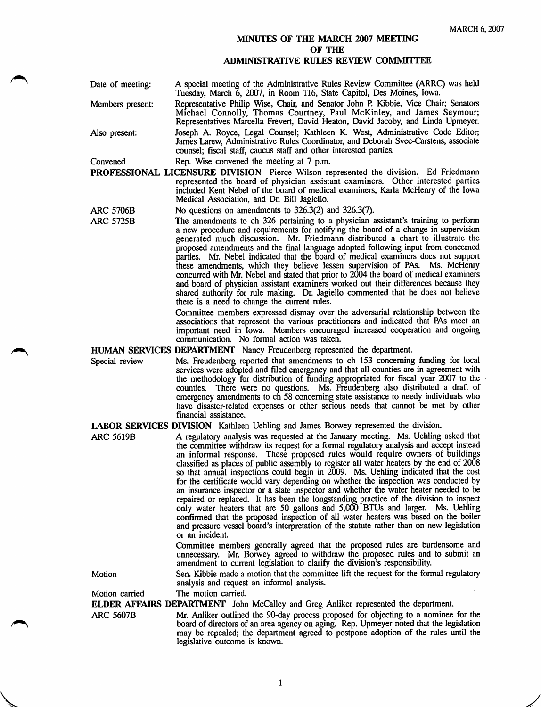## MINUTES OF THE MARCH 2007 MEETING OF THE ADMINISTRATIVE RULES REVIEW COMMTITEE

Date of meeting: Members present: Also present: A special meeting of the Administrative Rules Review Committee (ARRQ was held Tuesday, March 6, 2007, in Room 116, State Capitol, Des Moines, Iowa. Representative Philip Wise, Chair, and Senator John P. Kibbie, Vice Chair; Senators Michael Connolly, Thomas Courtney, Paul McKinley, and James Seymour; Representatives Marcella Frevert, David Heaton, David Jacoby, and Linda Upmeyer. Joseph A. Royce, Legal Counsel; Kathleen K. West, Administrative Code Editor; James Larew, Administrative Rules Coordinator, and Deborah Svec-Carstens, associate counsel; fiscal staff, caucus staff and other interested parties.

Convened Rep. Wise convened the meeting at 7 p.m.

- PROFESSIONAL LICENSURE DIVISION Pierce Wilson represented the division. Ed Friedmann represented the board of physician assistant examiners. Other interested parties included Kent Nebel of the board of medical examiners, Karla McHenry of the Iowa Medical Association, and Dr. Bill Jagiello.
- ARC 5706B No questions on amendments to 326.3(2) and 326.3(7).
- ARC 5725B The amendments to ch 326 pertaining to a physician assistant's training to perform a new procedure and requirements for notifying the board of a change in supervision generated much discussion. Mr. Friedmann distributed a chart to illustrate the proposed amendments and the final language adopted following input from concerned parties. Mr. Nebel indicated that the board of medical examiners does not support these amendments, which they believe lessen supervision of PAs. Ms. McHenry concurred with Mr. Nebel and stated that prior to 2004 the board of medical examiners and board of physician assistant examiners worked out their differences because they shared authority for rule making. Dr. Jagiello commented that he does not believe there is a need to change the current rules.

Committee members expressed dismay over the adversarial relationship between the associations that represent the various practitioners and indicated that PAs meet an important need in Iowa. Members encouraged increased cooperation and ongoing communication. No formal action was taken.

## HUMAN SERVICES DEPARTMENT Nancy Freudenberg represented the department.

Special review Ms. Freudenberg reported that amendments to ch 153 conceming funding for local services were adopted and filed emergency and that all counties are in agreement with the methodology for distribution of funding appropriated for fiscal year 2007 to the counties. There were no questions. Ms. Freudenberg also distributed a draft of emergency amendments to ch 58 conceming state assistance to needy individuals who have disaster-related expenses or other serious needs that cannot be met by other financial assistance.

LABOR SERVICES DIVISION Kathleen Uehling and James Borwey represented the division.

ARC 5619B A regulatory analysis was requested at the January meeting. Ms. Uehling asked that the committee withdraw its request for a formal regulatory analysis and accept instead an informal response. These proposed rules would require owners of buildings classified as places of public assembly to register all water heaters by the end of 2008 so that annual inspections could begin in 2009. Ms. Uehling indicated that the cost for the certificate would vary depending on whether the inspection was conducted by an insurance inspector or a state inspector and whether the water heater needed to be repaired or replaced. It has been the longstanding practice of the division to inspect only water heaters that are 50 gallons and 5,000 BTUs and larger. Ms. Uehling confirmed that the proposed inspection of all water heaters was based on the boiler and pressure vessel board's interpretation of the statute rather than on new legislation or an incident.

> Committee members generally agreed that the proposed mles are burdensome and unnecessary. Mr. Borwey agreed to withdraw the proposed mles and to submit an amendment to current legislation to clarify the division's responsibility.

Motion Sen. Kibbie made a motion that the committee lift the request for the formal regulatory analysis and request an informal analysis.

Motion carried The motion carried.

ELDER AFFAIRS DEPARTMENT John McCalley and Greg Anliker represented the department.

ARC 5607B Mr. Anliker outlined the 90-day process proposed for objecting to a nominee for the board of directors of an area agency on aging. Rep. Upmeyer noted that the legislation may be repealed; the department agreed to postpone adoption of the rules until the legislative outcome is known.